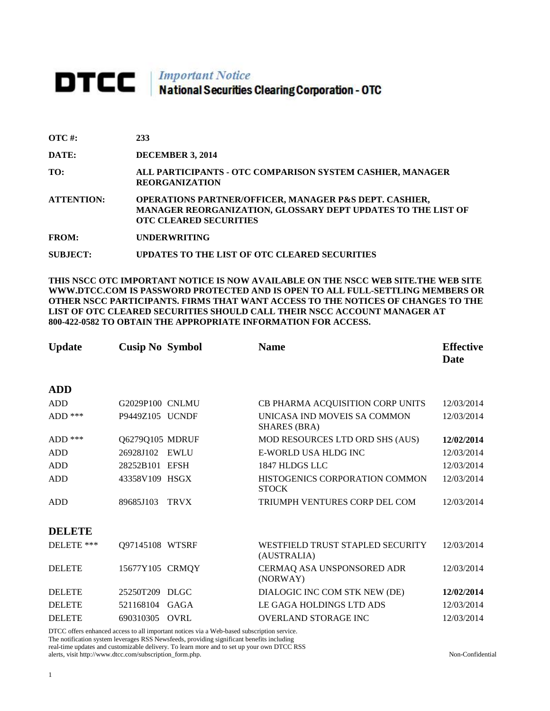# **DTCC** National Securities Clearing Corporation - OTC

| $\overline{OTC}$ #: | 233                                                                                                                                                                |
|---------------------|--------------------------------------------------------------------------------------------------------------------------------------------------------------------|
| DATE:               | <b>DECEMBER 3, 2014</b>                                                                                                                                            |
| TO:                 | ALL PARTICIPANTS - OTC COMPARISON SYSTEM CASHIER, MANAGER<br><b>REORGANIZATION</b>                                                                                 |
| <b>ATTENTION:</b>   | <b>OPERATIONS PARTNER/OFFICER, MANAGER P&amp;S DEPT. CASHIER,</b><br>MANAGER REORGANIZATION, GLOSSARY DEPT UPDATES TO THE LIST OF<br><b>OTC CLEARED SECURITIES</b> |
| <b>FROM:</b>        | <b>UNDERWRITING</b>                                                                                                                                                |
| <b>SUBJECT:</b>     | UPDATES TO THE LIST OF OTC CLEARED SECURITIES                                                                                                                      |

**THIS NSCC OTC IMPORTANT NOTICE IS NOW AVAILABLE ON THE NSCC WEB SITE.THE WEB SITE WWW.DTCC.COM IS PASSWORD PROTECTED AND IS OPEN TO ALL FULL-SETTLING MEMBERS OR OTHER NSCC PARTICIPANTS. FIRMS THAT WANT ACCESS TO THE NOTICES OF CHANGES TO THE LIST OF OTC CLEARED SECURITIES SHOULD CALL THEIR NSCC ACCOUNT MANAGER AT 800-422-0582 TO OBTAIN THE APPROPRIATE INFORMATION FOR ACCESS.** 

| <b>Update</b> | <b>Cusip No Symbol</b> |             | <b>Name</b>                                         | <b>Effective</b><br><b>Date</b> |
|---------------|------------------------|-------------|-----------------------------------------------------|---------------------------------|
| <b>ADD</b>    |                        |             |                                                     |                                 |
| <b>ADD</b>    | G2029P100 CNLMU        |             | CB PHARMA ACQUISITION CORP UNITS                    | 12/03/2014                      |
| ADD ***       | P9449Z105 UCNDF        |             | UNICASA IND MOVEIS SA COMMON<br><b>SHARES (BRA)</b> | 12/03/2014                      |
| $ADD$ ***     | Q6279Q105 MDRUF        |             | MOD RESOURCES LTD ORD SHS (AUS)                     | 12/02/2014                      |
| <b>ADD</b>    | 26928J102              | <b>EWLU</b> | E-WORLD USA HLDG INC                                | 12/03/2014                      |
| <b>ADD</b>    | 28252B101 EFSH         |             | 1847 HLDGS LLC                                      | 12/03/2014                      |
| <b>ADD</b>    | 43358V109 HSGX         |             | HISTOGENICS CORPORATION COMMON<br><b>STOCK</b>      | 12/03/2014                      |
| <b>ADD</b>    | 89685J103              | <b>TRVX</b> | TRIUMPH VENTURES CORP DEL COM                       | 12/03/2014                      |
| <b>DELETE</b> |                        |             |                                                     |                                 |
| DELETE ***    | Q97145108 WTSRF        |             | WESTFIELD TRUST STAPLED SECURITY<br>(AUSTRALIA)     | 12/03/2014                      |
| <b>DELETE</b> | 15677Y105 CRMQY        |             | CERMAQ ASA UNSPONSORED ADR<br>(NORWAY)              | 12/03/2014                      |
| <b>DELETE</b> | 25250T209 DLGC         |             | DIALOGIC INC COM STK NEW (DE)                       | 12/02/2014                      |
| <b>DELETE</b> | 521168104              | GAGA        | LE GAGA HOLDINGS LTD ADS                            | 12/03/2014                      |
| <b>DELETE</b> | 690310305              | <b>OVRL</b> | <b>OVERLAND STORAGE INC</b>                         | 12/03/2014                      |

DTCC offers enhanced access to all important notices via a Web-based subscription service. The notification system leverages RSS Newsfeeds, providing significant benefits including

real-time updates and customizable delivery. To learn more and to set up your own DTCC RSS